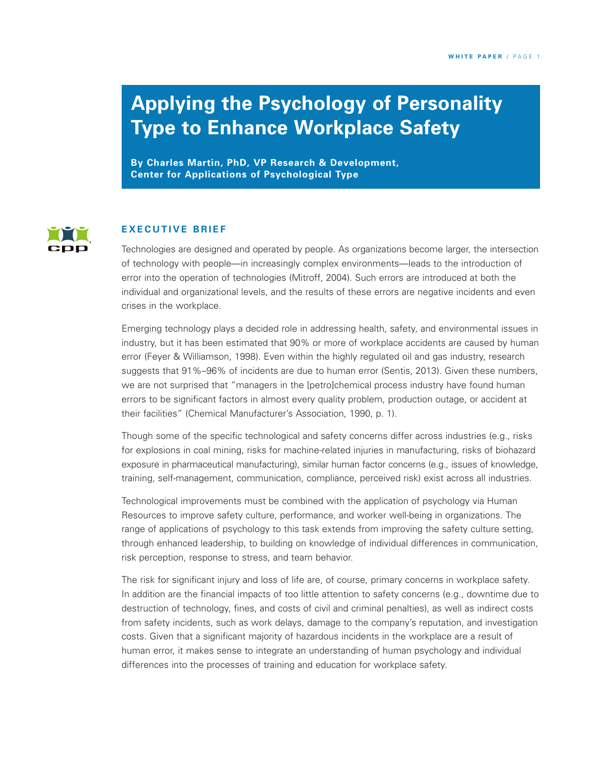# **Applying the Psychology of Personality Type to Enhance Workplace Safety**

**By Charles Martin, PhD, VP Research & Development, Center for Applications of Psychological Type**



#### **E X EC U T I V E B R I E F**

Technologies are designed and operated by people. As organizations become larger, the intersection of technology with people—in increasingly complex environments—leads to the introduction of error into the operation of technologies (Mitroff, 2004). Such errors are introduced at both the individual and organizational levels, and the results of these errors are negative incidents and even crises in the workplace.

Emerging technology plays a decided role in addressing health, safety, and environmental issues in industry, but it has been estimated that 90% or more of workplace accidents are caused by human error (Feyer & Williamson, 1998). Even within the highly regulated oil and gas industry, research suggests that 91%–96% of incidents are due to human error (Sentis, 2013). Given these numbers, we are not surprised that "managers in the [petro]chemical process industry have found human errors to be significant factors in almost every quality problem, production outage, or accident at their facilities" (Chemical Manufacturer's Association, 1990, p. 1).

Though some of the specific technological and safety concerns differ across industries (e.g., risks for explosions in coal mining, risks for machine-related injuries in manufacturing, risks of biohazard exposure in pharmaceutical manufacturing), similar human factor concerns (e.g., issues of knowledge, training, self-management, communication, compliance, perceived risk) exist across all industries.

Technological improvements must be combined with the application of psychology via Human Resources to improve safety culture, performance, and worker well-being in organizations. The range of applications of psychology to this task extends from improving the safety culture setting, through enhanced leadership, to building on knowledge of individual differences in communication, risk perception, response to stress, and team behavior.

The risk for significant injury and loss of life are, of course, primary concerns in workplace safety. In addition are the financial impacts of too little attention to safety concerns (e.g., downtime due to destruction of technology, fines, and costs of civil and criminal penalties), as well as indirect costs from safety incidents, such as work delays, damage to the company's reputation, and investigation costs. Given that a significant majority of hazardous incidents in the workplace are a result of human error, it makes sense to integrate an understanding of human psychology and individual differences into the processes of training and education for workplace safety.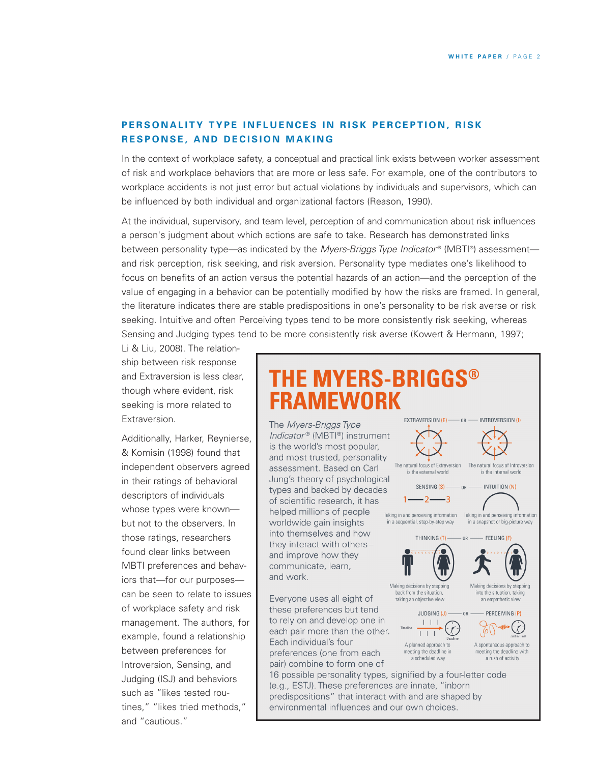# PERSONALITY TYPE INFLUENCES IN RISK PERCEPTION, RISK **R ES P O N S E , A N D D EC IS I O N M A K I N G**

In the context of workplace safety, a conceptual and practical link exists between worker assessment of risk and workplace behaviors that are more or less safe. For example, one of the contributors to workplace accidents is not just error but actual violations by individuals and supervisors, which can be influenced by both individual and organizational factors (Reason, 1990).

At the individual, supervisory, and team level, perception of and communication about risk influences a person's judgment about which actions are safe to take. Research has demonstrated links between personality type—as indicated by the *Myers-Briggs Type Indicator* ® (MBTI ®) assessment and risk perception, risk seeking, and risk aversion. Personality type mediates one's likelihood to focus on benefits of an action versus the potential hazards of an action—and the perception of the value of engaging in a behavior can be potentially modified by how the risks are framed. In general, the literature indicates there are stable predispositions in one's personality to be risk averse or risk seeking. Intuitive and often Perceiving types tend to be more consistently risk seeking, whereas Sensing and Judging types tend to be more consistently risk averse (Kowert & Hermann, 1997;

Li & Liu, 2008). The relationship between risk response and Extraversion is less clear, though where evident, risk seeking is more related to Extraversion.

Additionally, Harker, Reynierse, & Komisin (1998) found that independent observers agreed in their ratings of behavioral descriptors of individuals whose types were known but not to the observers. In those ratings, researchers found clear links between MBTI preferences and behaviors that—for our purposes can be seen to relate to issues of workplace safety and risk management. The authors, for example, found a relationship between preferences for Introversion, Sensing, and Judging (ISJ) and behaviors such as "likes tested routines," "likes tried methods," and "cautious."

# THE MYERS-BRIGGS® **FRAMEWORK**

The Myers-Briggs Type Indicator® (MBTI®) instrument is the world's most popular, and most trusted, personality assessment. Based on Carl Jung's theory of psychological types and backed by decades of scientific research, it has helped millions of people worldwide gain insights into themselves and how they interact with othersand improve how they communicate, learn, and work.

Everyone uses all eight of these preferences but tend to rely on and develop one in each pair more than the other. Each individual's four preferences (one from each pair) combine to form one of

16 possible personality types, signified by a four-letter code (e.g., ESTJ). These preferences are innate, "inborn predispositions" that interact with and are shaped by environmental influences and our own choices.

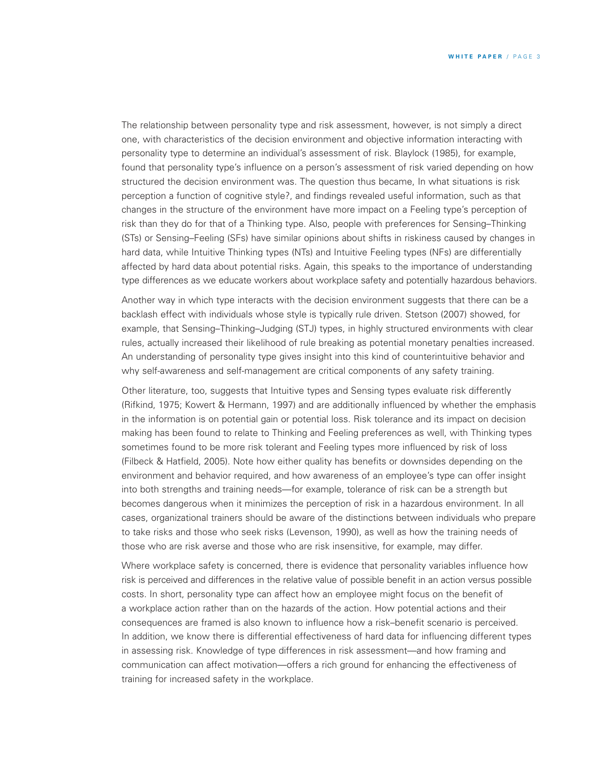The relationship between personality type and risk assessment, however, is not simply a direct one, with characteristics of the decision environment and objective information interacting with personality type to determine an individual's assessment of risk. Blaylock (1985), for example, found that personality type's influence on a person's assessment of risk varied depending on how structured the decision environment was. The question thus became, In what situations is risk perception a function of cognitive style?, and findings revealed useful information, such as that changes in the structure of the environment have more impact on a Feeling type's perception of risk than they do for that of a Thinking type. Also, people with preferences for Sensing–Thinking (STs) or Sensing–Feeling (SFs) have similar opinions about shifts in riskiness caused by changes in hard data, while Intuitive Thinking types (NTs) and Intuitive Feeling types (NFs) are differentially affected by hard data about potential risks. Again, this speaks to the importance of understanding type differences as we educate workers about workplace safety and potentially hazardous behaviors.

Another way in which type interacts with the decision environment suggests that there can be a backlash effect with individuals whose style is typically rule driven. Stetson (2007) showed, for example, that Sensing–Thinking–Judging (STJ) types, in highly structured environments with clear rules, actually increased their likelihood of rule breaking as potential monetary penalties increased. An understanding of personality type gives insight into this kind of counterintuitive behavior and why self-awareness and self-management are critical components of any safety training.

Other literature, too, suggests that Intuitive types and Sensing types evaluate risk differently (Rifkind, 1975; Kowert & Hermann, 1997) and are additionally influenced by whether the emphasis in the information is on potential gain or potential loss. Risk tolerance and its impact on decision making has been found to relate to Thinking and Feeling preferences as well, with Thinking types sometimes found to be more risk tolerant and Feeling types more influenced by risk of loss (Filbeck & Hatfield, 2005). Note how either quality has benefits or downsides depending on the environment and behavior required, and how awareness of an employee's type can offer insight into both strengths and training needs—for example, tolerance of risk can be a strength but becomes dangerous when it minimizes the perception of risk in a hazardous environment. In all cases, organizational trainers should be aware of the distinctions between individuals who prepare to take risks and those who seek risks (Levenson, 1990), as well as how the training needs of those who are risk averse and those who are risk insensitive, for example, may differ.

Where workplace safety is concerned, there is evidence that personality variables influence how risk is perceived and differences in the relative value of possible benefit in an action versus possible costs. In short, personality type can affect how an employee might focus on the benefit of a workplace action rather than on the hazards of the action. How potential actions and their consequences are framed is also known to influence how a risk–benefit scenario is perceived. In addition, we know there is differential effectiveness of hard data for influencing different types in assessing risk. Knowledge of type differences in risk assessment—and how framing and communication can affect motivation—offers a rich ground for enhancing the effectiveness of training for increased safety in the workplace.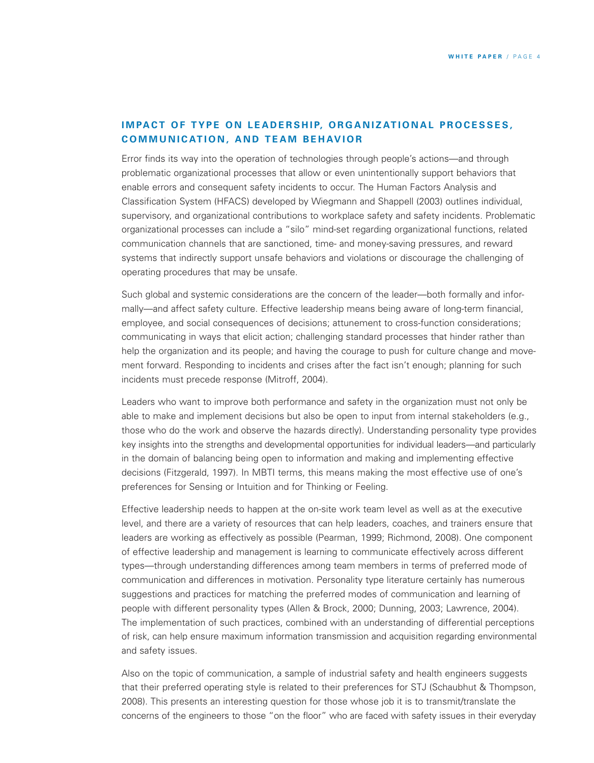# **IMPACT OF TYPE ON LEADERSHIP, ORGANIZATIONAL PROCESSES, COMMUNICATION, AND TEAM BEHAVIOR**

Error finds its way into the operation of technologies through people's actions—and through problematic organizational processes that allow or even unintentionally support behaviors that enable errors and consequent safety incidents to occur. The Human Factors Analysis and Classification System (HFACS) developed by Wiegmann and Shappell (2003) outlines individual, supervisory, and organizational contributions to workplace safety and safety incidents. Problematic organizational processes can include a "silo" mind-set regarding organizational functions, related communication channels that are sanctioned, time- and money-saving pressures, and reward systems that indirectly support unsafe behaviors and violations or discourage the challenging of operating procedures that may be unsafe.

Such global and systemic considerations are the concern of the leader—both formally and informally—and affect safety culture. Effective leadership means being aware of long-term financial, employee, and social consequences of decisions; attunement to cross-function considerations; communicating in ways that elicit action; challenging standard processes that hinder rather than help the organization and its people; and having the courage to push for culture change and movement forward. Responding to incidents and crises after the fact isn't enough; planning for such incidents must precede response (Mitroff, 2004).

Leaders who want to improve both performance and safety in the organization must not only be able to make and implement decisions but also be open to input from internal stakeholders (e.g., those who do the work and observe the hazards directly). Understanding personality type provides key insights into the strengths and developmental opportunities for individual leaders—and particularly in the domain of balancing being open to information and making and implementing effective decisions (Fitzgerald, 1997). In MBTI terms, this means making the most effective use of one's preferences for Sensing or Intuition and for Thinking or Feeling.

Effective leadership needs to happen at the on-site work team level as well as at the executive level, and there are a variety of resources that can help leaders, coaches, and trainers ensure that leaders are working as effectively as possible (Pearman, 1999; Richmond, 2008). One component of effective leadership and management is learning to communicate effectively across different types—through understanding differences among team members in terms of preferred mode of communication and differences in motivation. Personality type literature certainly has numerous suggestions and practices for matching the preferred modes of communication and learning of people with different personality types (Allen & Brock, 2000; Dunning, 2003; Lawrence, 2004). The implementation of such practices, combined with an understanding of differential perceptions of risk, can help ensure maximum information transmission and acquisition regarding environmental and safety issues.

Also on the topic of communication, a sample of industrial safety and health engineers suggests that their preferred operating style is related to their preferences for STJ (Schaubhut & Thompson, 2008). This presents an interesting question for those whose job it is to transmit/translate the concerns of the engineers to those "on the floor" who are faced with safety issues in their everyday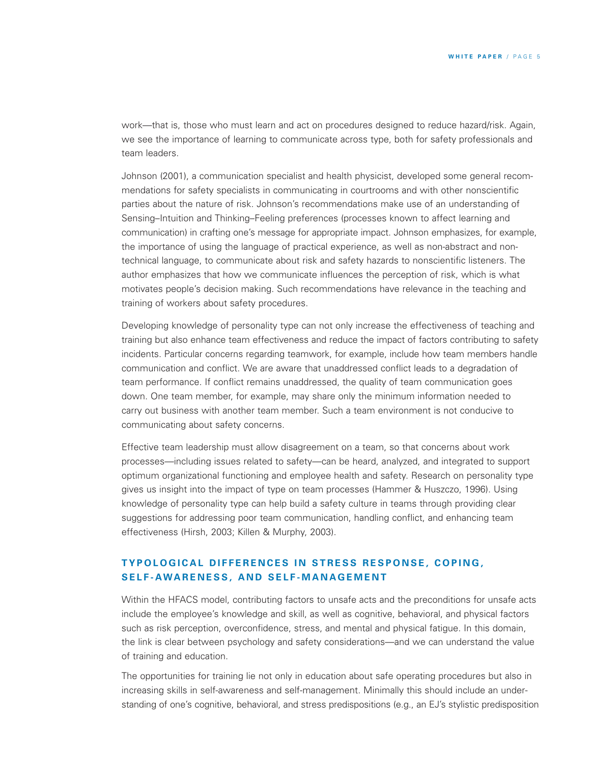work—that is, those who must learn and act on procedures designed to reduce hazard/risk. Again, we see the importance of learning to communicate across type, both for safety professionals and team leaders.

Johnson (2001), a communication specialist and health physicist, developed some general recommendations for safety specialists in communicating in courtrooms and with other nonscientific parties about the nature of risk. Johnson's recommendations make use of an understanding of Sensing–Intuition and Thinking–Feeling preferences (processes known to affect learning and communication) in crafting one's message for appropriate impact. Johnson emphasizes, for example, the importance of using the language of practical experience, as well as non-abstract and nontechnical language, to communicate about risk and safety hazards to nonscientific listeners. The author emphasizes that how we communicate influences the perception of risk, which is what motivates people's decision making. Such recommendations have relevance in the teaching and training of workers about safety procedures.

Developing knowledge of personality type can not only increase the effectiveness of teaching and training but also enhance team effectiveness and reduce the impact of factors contributing to safety incidents. Particular concerns regarding teamwork, for example, include how team members handle communication and conflict. We are aware that unaddressed conflict leads to a degradation of team performance. If conflict remains unaddressed, the quality of team communication goes down. One team member, for example, may share only the minimum information needed to carry out business with another team member. Such a team environment is not conducive to communicating about safety concerns.

Effective team leadership must allow disagreement on a team, so that concerns about work processes—including issues related to safety—can be heard, analyzed, and integrated to support optimum organizational functioning and employee health and safety. Research on personality type gives us insight into the impact of type on team processes (Hammer & Huszczo, 1996). Using knowledge of personality type can help build a safety culture in teams through providing clear suggestions for addressing poor team communication, handling conflict, and enhancing team effectiveness (Hirsh, 2003; Killen & Murphy, 2003).

# TYPOLOGICAL DIFFERENCES IN STRESS RESPONSE, COPING, SELF-AWARENESS, AND SELF-MANAGEMENT

Within the HFACS model, contributing factors to unsafe acts and the preconditions for unsafe acts include the employee's knowledge and skill, as well as cognitive, behavioral, and physical factors such as risk perception, overconfidence, stress, and mental and physical fatigue. In this domain, the link is clear between psychology and safety considerations—and we can understand the value of training and education.

The opportunities for training lie not only in education about safe operating procedures but also in increasing skills in self-awareness and self-management. Minimally this should include an understanding of one's cognitive, behavioral, and stress predispositions (e.g., an EJ's stylistic predisposition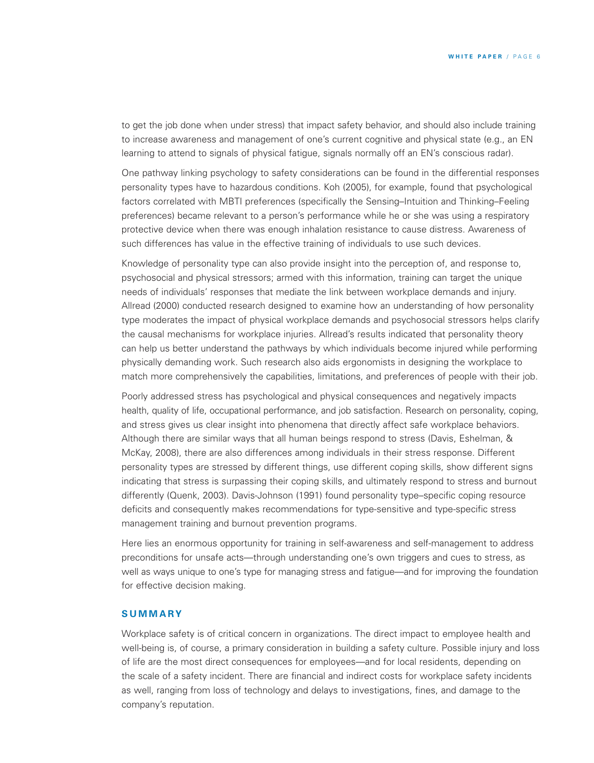to get the job done when under stress) that impact safety behavior, and should also include training to increase awareness and management of one's current cognitive and physical state (e.g., an EN learning to attend to signals of physical fatigue, signals normally off an EN's conscious radar).

One pathway linking psychology to safety considerations can be found in the differential responses personality types have to hazardous conditions. Koh (2005), for example, found that psychological factors correlated with MBTI preferences (specifically the Sensing–Intuition and Thinking–Feeling preferences) became relevant to a person's performance while he or she was using a respiratory protective device when there was enough inhalation resistance to cause distress. Awareness of such differences has value in the effective training of individuals to use such devices.

Knowledge of personality type can also provide insight into the perception of, and response to, psychosocial and physical stressors; armed with this information, training can target the unique needs of individuals' responses that mediate the link between workplace demands and injury. Allread (2000) conducted research designed to examine how an understanding of how personality type moderates the impact of physical workplace demands and psychosocial stressors helps clarify the causal mechanisms for workplace injuries. Allread's results indicated that personality theory can help us better understand the pathways by which individuals become injured while performing physically demanding work. Such research also aids ergonomists in designing the workplace to match more comprehensively the capabilities, limitations, and preferences of people with their job.

Poorly addressed stress has psychological and physical consequences and negatively impacts health, quality of life, occupational performance, and job satisfaction. Research on personality, coping, and stress gives us clear insight into phenomena that directly affect safe workplace behaviors. Although there are similar ways that all human beings respond to stress (Davis, Eshelman, & McKay, 2008), there are also differences among individuals in their stress response. Different personality types are stressed by different things, use different coping skills, show different signs indicating that stress is surpassing their coping skills, and ultimately respond to stress and burnout differently (Quenk, 2003). Davis-Johnson (1991) found personality type–specific coping resource deficits and consequently makes recommendations for type-sensitive and type-specific stress management training and burnout prevention programs.

Here lies an enormous opportunity for training in self-awareness and self-management to address preconditions for unsafe acts—through understanding one's own triggers and cues to stress, as well as ways unique to one's type for managing stress and fatigue—and for improving the foundation for effective decision making.

### **S U M M A RY**

Workplace safety is of critical concern in organizations. The direct impact to employee health and well-being is, of course, a primary consideration in building a safety culture. Possible injury and loss of life are the most direct consequences for employees—and for local residents, depending on the scale of a safety incident. There are financial and indirect costs for workplace safety incidents as well, ranging from loss of technology and delays to investigations, fines, and damage to the company's reputation.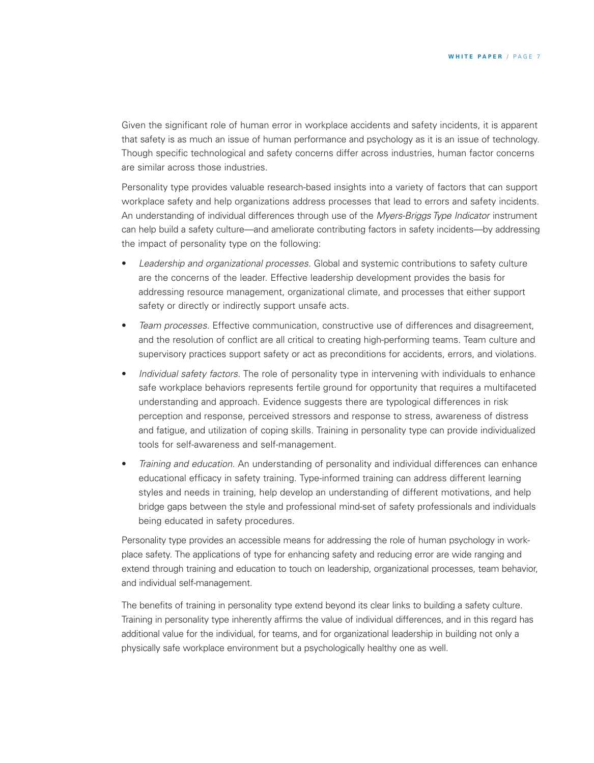Given the significant role of human error in workplace accidents and safety incidents, it is apparent that safety is as much an issue of human performance and psychology as it is an issue of technology. Though specific technological and safety concerns differ across industries, human factor concerns are similar across those industries.

Personality type provides valuable research-based insights into a variety of factors that can support workplace safety and help organizations address processes that lead to errors and safety incidents. An understanding of individual differences through use of the *Myers-Briggs Type Indicator* instrument can help build a safety culture—and ameliorate contributing factors in safety incidents—by addressing the impact of personality type on the following:

- *Leadership and organizational processes.* Global and systemic contributions to safety culture are the concerns of the leader. Effective leadership development provides the basis for addressing resource management, organizational climate, and processes that either support safety or directly or indirectly support unsafe acts.
- *Team processes.* Effective communication, constructive use of differences and disagreement, and the resolution of conflict are all critical to creating high-performing teams. Team culture and supervisory practices support safety or act as preconditions for accidents, errors, and violations.
- *Individual safety factors.* The role of personality type in intervening with individuals to enhance safe workplace behaviors represents fertile ground for opportunity that requires a multifaceted understanding and approach. Evidence suggests there are typological differences in risk perception and response, perceived stressors and response to stress, awareness of distress and fatigue, and utilization of coping skills. Training in personality type can provide individualized tools for self-awareness and self-management.
- *Training and education.* An understanding of personality and individual differences can enhance educational efficacy in safety training. Type-informed training can address different learning styles and needs in training, help develop an understanding of different motivations, and help bridge gaps between the style and professional mind-set of safety professionals and individuals being educated in safety procedures.

Personality type provides an accessible means for addressing the role of human psychology in workplace safety. The applications of type for enhancing safety and reducing error are wide ranging and extend through training and education to touch on leadership, organizational processes, team behavior, and individual self-management.

The benefits of training in personality type extend beyond its clear links to building a safety culture. Training in personality type inherently affirms the value of individual differences, and in this regard has additional value for the individual, for teams, and for organizational leadership in building not only a physically safe workplace environment but a psychologically healthy one as well.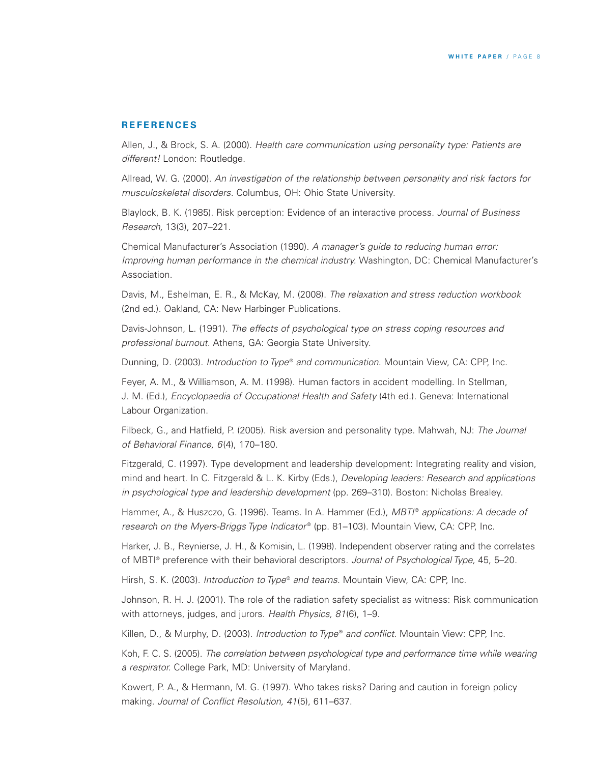#### **R E F ER E N C ES**

Allen, J., & Brock, S. A. (2000). *Health care communication using personality type: Patients are different!* London: Routledge.

Allread, W. G. (2000). *An investigation of the relationship between personality and risk factors for musculoskeletal disorders.* Columbus, OH: Ohio State University.

Blaylock, B. K. (1985). Risk perception: Evidence of an interactive process. *Journal of Business Research,* 13(3), 207–221.

Chemical Manufacturer's Association (1990). *A manager's guide to reducing human error: Improving human performance in the chemical industry.* Washington, DC: Chemical Manufacturer's Association.

Davis, M., Eshelman, E. R., & McKay, M. (2008). *The relaxation and stress reduction workbook* (2nd ed.). Oakland, CA: New Harbinger Publications.

Davis-Johnson, L. (1991). *The effects of psychological type on stress coping resources and professional burnout.* Athens, GA: Georgia State University.

Dunning, D. (2003). *Introduction to Type*® *and communication.* Mountain View, CA: CPP, Inc.

Feyer, A. M., & Williamson, A. M. (1998). Human factors in accident modelling. In Stellman, J. M. (Ed.), *Encyclopaedia of Occupational Health and Safety* (4th ed.). Geneva: International Labour Organization.

Filbeck, G., and Hatfield, P. (2005). Risk aversion and personality type. Mahwah, NJ: *The Journal of Behavioral Finance, 6*(4), 170–180.

Fitzgerald, C. (1997). Type development and leadership development: Integrating reality and vision, mind and heart. In C. Fitzgerald & L. K. Kirby (Eds.), *Developing leaders: Research and applications in psychological type and leadership development* (pp. 269–310). Boston: Nicholas Brealey.

Hammer, A., & Huszczo, G. (1996). Teams. In A. Hammer (Ed.), *MBTI* ® *applications: A decade of research on the Myers-Briggs Type Indicator* ® (pp. 81–103). Mountain View, CA: CPP, Inc.

Harker, J. B., Reynierse, J. H., & Komisin, L. (1998). Independent observer rating and the correlates of MBTI ® preference with their behavioral descriptors. *Journal of Psychological Type,* 45, 5–20.

Hirsh, S. K. (2003). *Introduction to Type*® *and teams.* Mountain View, CA: CPP, Inc.

Johnson, R. H. J. (2001). The role of the radiation safety specialist as witness: Risk communication with attorneys, judges, and jurors. *Health Physics, 81*(6), 1–9.

Killen, D., & Murphy, D. (2003). *Introduction to Type* ® *and conflict.* Mountain View: CPP, Inc.

Koh, F. C. S. (2005). *The correlation between psychological type and performance time while wearing a respirator.* College Park, MD: University of Maryland.

Kowert, P. A., & Hermann, M. G. (1997). Who takes risks? Daring and caution in foreign policy making. *Journal of Conflict Resolution, 41*(5), 611–637.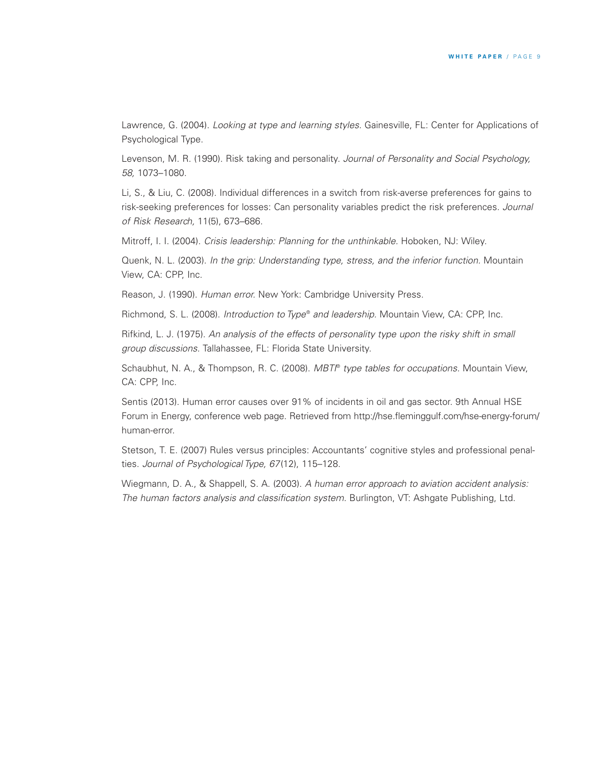Lawrence, G. (2004). *Looking at type and learning styles.* Gainesville, FL: Center for Applications of Psychological Type.

Levenson, M. R. (1990). Risk taking and personality. *Journal of Personality and Social Psychology, 58,* 1073–1080.

Li, S., & Liu, C. (2008). Individual differences in a switch from risk-averse preferences for gains to risk-seeking preferences for losses: Can personality variables predict the risk preferences. *Journal of Risk Research,* 11(5), 673–686.

Mitroff, I. I. (2004). *Crisis leadership: Planning for the unthinkable.* Hoboken, NJ: Wiley.

Quenk, N. L. (2003). *In the grip: Understanding type, stress, and the inferior function.* Mountain View, CA: CPP, Inc.

Reason, J. (1990). *Human error.* New York: Cambridge University Press.

Richmond, S. L. (2008). *Introduction to Type*® *and leadership.* Mountain View, CA: CPP, Inc.

Rifkind, L. J. (1975). *An analysis of the effects of personality type upon the risky shift in small group discussions.* Tallahassee, FL: Florida State University.

Schaubhut, N. A., & Thompson, R. C. (2008). *MBTI* ® *type tables for occupations.* Mountain View, CA: CPP, Inc.

Sentis (2013). Human error causes over 91% of incidents in oil and gas sector. 9th Annual HSE Forum in Energy, conference web page. Retrieved from http://hse.fleminggulf.com/hse-energy-forum/ human-error.

Stetson, T. E. (2007) Rules versus principles: Accountants' cognitive styles and professional penalties. *Journal of Psychological Type, 67*(12), 115–128.

Wiegmann, D. A., & Shappell, S. A. (2003). *A human error approach to aviation accident analysis: The human factors analysis and classification system.* Burlington, VT: Ashgate Publishing, Ltd.